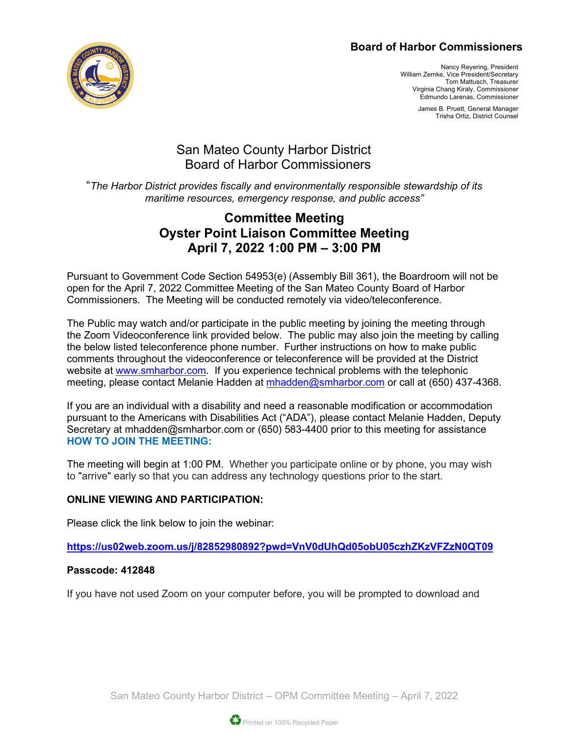#### **Board of Harbor Commissioners**



Nancy Reyering, President William Zemke, Vice President/Secretary Tom Mattusch, Treasurer Virginia Chang Kiraly, Commissioner Edmundo Larenas, Commissioner

> James B. Pruett, General Manager Trisha Ortiz, District Counsel

# San Mateo County Harbor District Board of Harbor Commissioners

"*The Harbor District provides fiscally and environmentally responsible stewardship of its maritime resources, emergency response, and public access"*

# **Committee Meeting Oyster Point Liaison Committee Meeting April 7, 2022 1:00 PM – 3:00 PM**

Pursuant to Government Code Section 54953(e) (Assembly Bill 361), the Boardroom will not be open for the April 7, 2022 Committee Meeting of the San Mateo County Board of Harbor Commissioners. The Meeting will be conducted remotely via video/teleconference.

The Public may watch and/or participate in the public meeting by joining the meeting through the Zoom Videoconference link provided below. The public may also join the meeting by calling the below listed teleconference phone number. Further instructions on how to make public comments throughout the videoconference or teleconference will be provided at the District website at [www.smharbor.com.](http://www.smharbor.com/) If you experience technical problems with the telephonic meeting, please contact Melanie Hadden at [mhadden@smharbor.com](mailto:mhadden@smharbor.com) or call at (650) 437-4368.

If you are an individual with a disability and need a reasonable modification or accommodation pursuant to the Americans with Disabilities Act ("ADA"), please contact Melanie Hadden, Deputy Secretary at mhadden@smharbor.com or (650) 583-4400 prior to this meeting for assistance **HOW TO JOIN THE MEETING:**

The meeting will begin at 1:00 PM. Whether you participate online or by phone, you may wish to "arrive" early so that you can address any technology questions prior to the start.

#### **ONLINE VIEWING AND PARTICIPATION:**

Please click the link below to join the webinar:

**<https://us02web.zoom.us/j/82852980892?pwd=VnV0dUhQd05obU05czhZKzVFZzN0QT09>**

#### **Passcode: 412848**

If you have not used Zoom on your computer before, you will be prompted to download and

San Mateo County Harbor District – OPM Committee Meeting – April 7, 2022

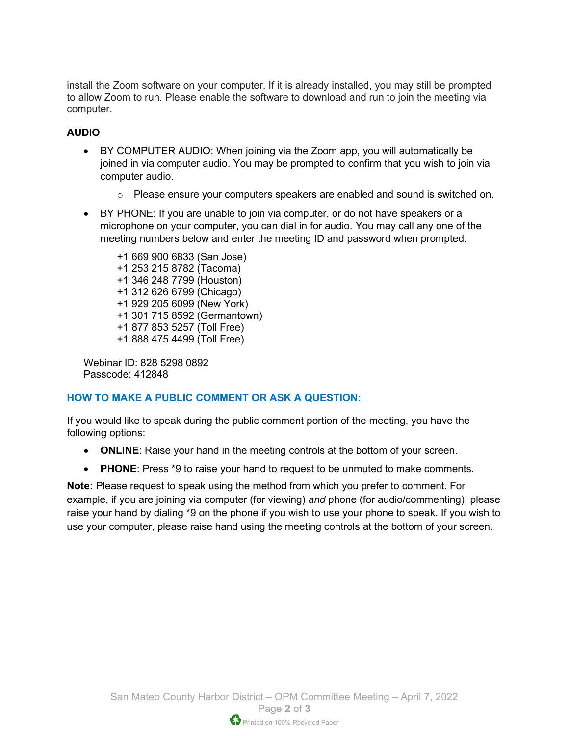install the Zoom software on your computer. If it is already installed, you may still be prompted to allow Zoom to run. Please enable the software to download and run to join the meeting via computer.

#### **AUDIO**

- BY COMPUTER AUDIO: When joining via the Zoom app, you will automatically be joined in via computer audio. You may be prompted to confirm that you wish to join via computer audio.
	- o Please ensure your computers speakers are enabled and sound is switched on.
- BY PHONE: If you are unable to join via computer, or do not have speakers or a microphone on your computer, you can dial in for audio. You may call any one of the meeting numbers below and enter the meeting ID and password when prompted.

+1 669 900 6833 (San Jose) +1 253 215 8782 (Tacoma) +1 346 248 7799 (Houston) +1 312 626 6799 (Chicago) +1 929 205 6099 (New York) +1 301 715 8592 (Germantown) +1 877 853 5257 (Toll Free) +1 888 475 4499 (Toll Free)

Webinar ID: 828 5298 0892 Passcode: 412848

#### **HOW TO MAKE A PUBLIC COMMENT OR ASK A QUESTION:**

If you would like to speak during the public comment portion of the meeting, you have the following options:

- **ONLINE**: Raise your hand in the meeting controls at the bottom of your screen.
- **PHONE**: Press \*9 to raise your hand to request to be unmuted to make comments.

**Note:** Please request to speak using the method from which you prefer to comment. For example, if you are joining via computer (for viewing) *and* phone (for audio/commenting), please raise your hand by dialing \*9 on the phone if you wish to use your phone to speak. If you wish to use your computer, please raise hand using the meeting controls at the bottom of your screen.